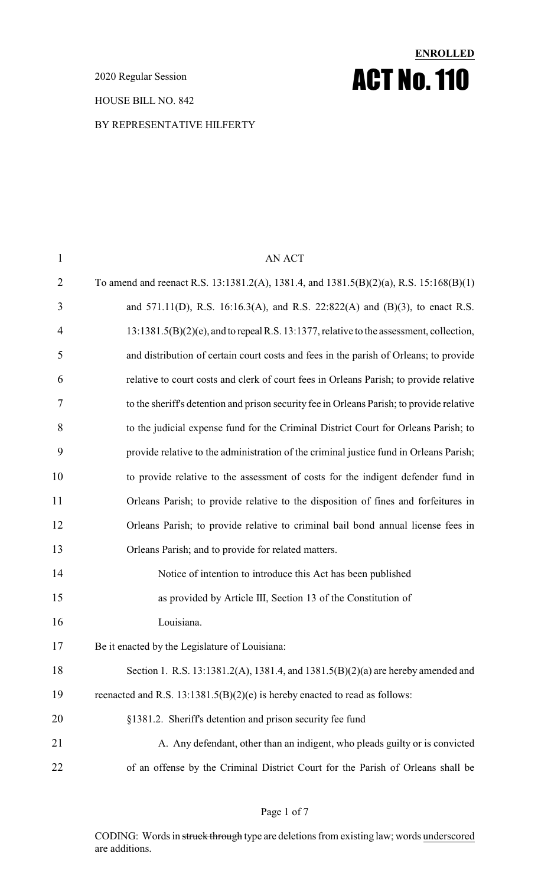2020 Regular Session

HOUSE BILL NO. 842

### BY REPRESENTATIVE HILFERTY

# 1 AN ACT To amend and reenact R.S. 13:1381.2(A), 1381.4, and 1381.5(B)(2)(a), R.S. 15:168(B)(1) and 571.11(D), R.S. 16:16.3(A), and R.S. 22:822(A) and (B)(3), to enact R.S. 13:1381.5(B)(2)(e), and to repealR.S. 13:1377, relative to the assessment, collection, and distribution of certain court costs and fees in the parish of Orleans; to provide relative to court costs and clerk of court fees in Orleans Parish; to provide relative to the sheriff's detention and prison security fee in Orleans Parish; to provide relative to the judicial expense fund for the Criminal District Court for Orleans Parish; to provide relative to the administration of the criminal justice fund in Orleans Parish; to provide relative to the assessment of costs for the indigent defender fund in Orleans Parish; to provide relative to the disposition of fines and forfeitures in Orleans Parish; to provide relative to criminal bail bond annual license fees in Orleans Parish; and to provide for related matters. Notice of intention to introduce this Act has been published as provided by Article III, Section 13 of the Constitution of Louisiana. Be it enacted by the Legislature of Louisiana: Section 1. R.S. 13:1381.2(A), 1381.4, and 1381.5(B)(2)(a) are hereby amended and 19 reenacted and R.S. 13:1381.5(B)(2)(e) is hereby enacted to read as follows: §1381.2. Sheriff's detention and prison security fee fund 21 A. Any defendant, other than an indigent, who pleads guilty or is convicted of an offense by the Criminal District Court for the Parish of Orleans shall be

**ENROLLED**

ACT No.110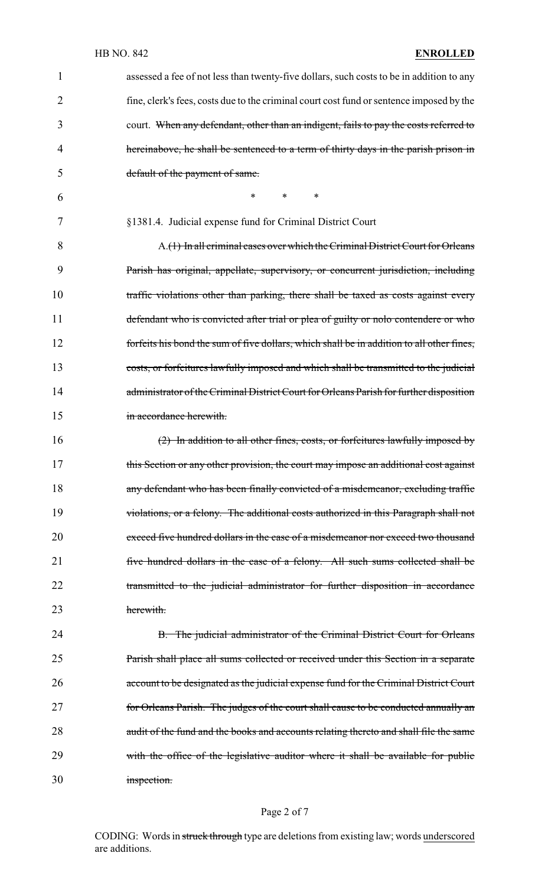### HB NO. 842 **ENROLLED**

| 1  | assessed a fee of not less than twenty-five dollars, such costs to be in addition to any  |
|----|-------------------------------------------------------------------------------------------|
| 2  | fine, clerk's fees, costs due to the criminal court cost fund or sentence imposed by the  |
| 3  | court. When any defendant, other than an indigent, fails to pay the costs referred to     |
| 4  | hereinabove, he shall be sentenced to a term of thirty days in the parish prison in       |
| 5  | default of the payment of same.                                                           |
| 6  | *<br>$\ast$<br>∗                                                                          |
| 7  | §1381.4. Judicial expense fund for Criminal District Court                                |
| 8  | A.(1) In all criminal cases over which the Criminal District Court for Orleans            |
| 9  | Parish has original, appellate, supervisory, or concurrent jurisdiction, including        |
| 10 | traffic violations other than parking, there shall be taxed as costs against every        |
| 11 | defendant who is convicted after trial or plea of guilty or nolo contendere or who        |
| 12 | forfeits his bond the sum of five dollars, which shall be in addition to all other fines, |
| 13 | costs, or forfeitures lawfully imposed and which shall be transmitted to the judicial     |
| 14 | administrator of the Criminal District Court for Orleans Parish for further disposition   |
| 15 | in accordance herewith.                                                                   |
| 16 | $(2)$ In addition to all other fines, costs, or forfeitures lawfully imposed by           |
| 17 | this Section or any other provision, the court may impose an additional cost against      |
| 18 | any defendant who has been finally convicted of a misdemeanor, excluding traffic          |
| 19 | violations, or a felony. The additional costs authorized in this Paragraph shall not      |
| 20 | exceed five hundred dollars in the case of a misdemeanor nor exceed two thousand          |
| 21 | five hundred dollars in the case of a felony. All such sums collected shall be            |
| 22 | transmitted to the judicial administrator for further disposition in accordance           |
| 23 | herewith.                                                                                 |

24 B. The judicial administrator of the Criminal District Court for Orleans 25 Parish shall place all sums collected or received under this Section in a separate 26 account to be designated as the judicial expense fund for the Criminal District Court 27 for Orleans Parish. The judges of the court shall cause to be conducted annually an 28 audit of the fund and the books and accounts relating thereto and shall file the same 29 with the office of the legislative auditor where it shall be available for public 30 inspection.

#### Page 2 of 7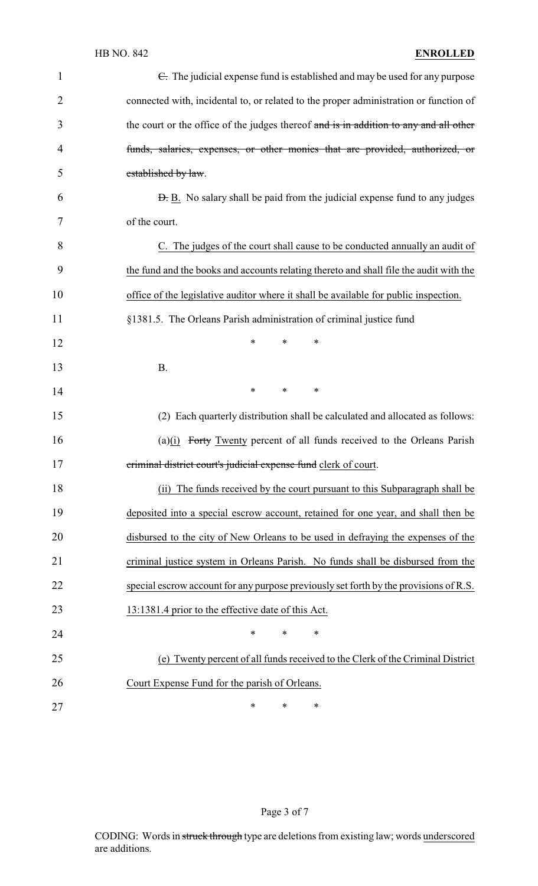| $\mathbf{1}$   | $\epsilon$ . The judicial expense fund is established and may be used for any purpose  |
|----------------|----------------------------------------------------------------------------------------|
| $\overline{2}$ | connected with, incidental to, or related to the proper administration or function of  |
| 3              | the court or the office of the judges thereof and is in addition to any and all other  |
| 4              | funds, salaries, expenses, or other monies that are provided, authorized, or           |
| 5              | established by law.                                                                    |
| 6              | <b>D.</b> B. No salary shall be paid from the judicial expense fund to any judges      |
| 7              | of the court.                                                                          |
| 8              | C. The judges of the court shall cause to be conducted annually an audit of            |
| 9              | the fund and the books and accounts relating thereto and shall file the audit with the |
| 10             | office of the legislative auditor where it shall be available for public inspection.   |
| 11             | §1381.5. The Orleans Parish administration of criminal justice fund                    |
| 12             | $\ast$<br>∗<br>∗                                                                       |
| 13             | <b>B.</b>                                                                              |
| 14             | $\ast$<br>$\ast$<br>∗                                                                  |
| 15             | (2) Each quarterly distribution shall be calculated and allocated as follows:          |
| 16             | $(a)(i)$ Forty Twenty percent of all funds received to the Orleans Parish              |
| 17             | criminal district court's judicial expense fund clerk of court.                        |
| 18             | (ii) The funds received by the court pursuant to this Subparagraph shall be            |
| 19             | deposited into a special escrow account, retained for one year, and shall then be      |
| 20             | disbursed to the city of New Orleans to be used in defraying the expenses of the       |
| 21             | criminal justice system in Orleans Parish. No funds shall be disbursed from the        |
| 22             | special escrow account for any purpose previously set forth by the provisions of R.S.  |
| 23             | 13:1381.4 prior to the effective date of this Act.                                     |
| 24             | $\ast$<br>$\ast$<br>$\ast$                                                             |
| 25             | (e) Twenty percent of all funds received to the Clerk of the Criminal District         |
| 26             | Court Expense Fund for the parish of Orleans.                                          |
| 27             | $\ast$<br>∗<br>∗                                                                       |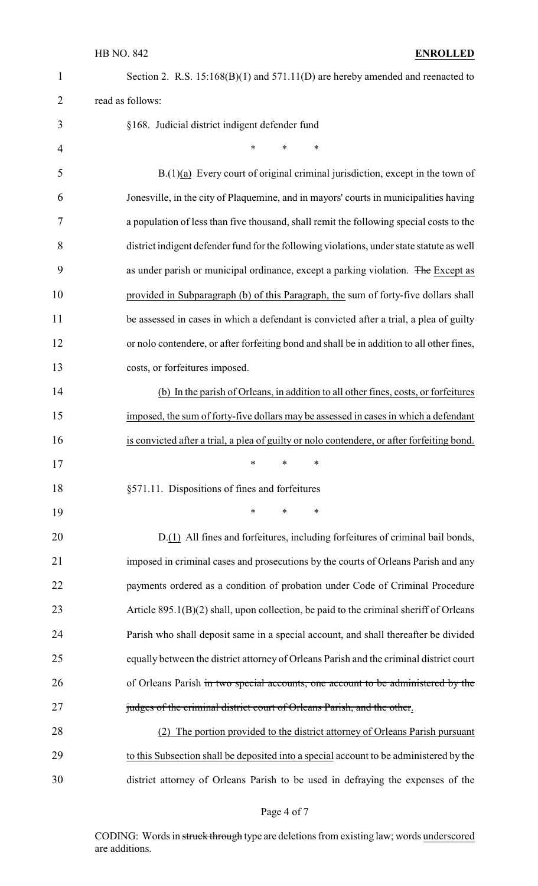### HB NO. 842 **ENROLLED**

| $\mathbf{1}$   | Section 2. R.S. $15:168(B)(1)$ and $571.11(D)$ are hereby amended and reenacted to         |
|----------------|--------------------------------------------------------------------------------------------|
| $\overline{2}$ | read as follows:                                                                           |
| 3              | §168. Judicial district indigent defender fund                                             |
| $\overline{4}$ | $\ast$<br>$\ast$<br>*                                                                      |
| 5              | $B(1)(a)$ Every court of original criminal jurisdiction, except in the town of             |
| 6              | Jonesville, in the city of Plaquemine, and in mayors' courts in municipalities having      |
| 7              | a population of less than five thousand, shall remit the following special costs to the    |
| 8              | district indigent defender fund for the following violations, under state statute as well  |
| 9              | as under parish or municipal ordinance, except a parking violation. The Except as          |
| 10             | provided in Subparagraph (b) of this Paragraph, the sum of forty-five dollars shall        |
| 11             | be assessed in cases in which a defendant is convicted after a trial, a plea of guilty     |
| 12             | or nolo contendere, or after forfeiting bond and shall be in addition to all other fines,  |
| 13             | costs, or forfeitures imposed.                                                             |
| 14             | (b) In the parish of Orleans, in addition to all other fines, costs, or forfeitures        |
| 15             | imposed, the sum of forty-five dollars may be assessed in cases in which a defendant       |
| 16             | is convicted after a trial, a plea of guilty or nolo contendere, or after forfeiting bond. |
| 17             | $\stackrel{\star}{\ast}$ $\stackrel{\star}{\ast}$ $\stackrel{\star}{\ast}$                 |
| 18             | §571.11. Dispositions of fines and forfeitures                                             |
| 19             | ∗<br>$\ast$<br>$\ast$                                                                      |
| 20             | D.(1) All fines and forfeitures, including forfeitures of criminal bail bonds,             |
| 21             | imposed in criminal cases and prosecutions by the courts of Orleans Parish and any         |
| 22             | payments ordered as a condition of probation under Code of Criminal Procedure              |
| 23             | Article 895.1(B)(2) shall, upon collection, be paid to the criminal sheriff of Orleans     |
| 24             | Parish who shall deposit same in a special account, and shall thereafter be divided        |
| 25             | equally between the district attorney of Orleans Parish and the criminal district court    |
| 26             | of Orleans Parish in two special accounts, one account to be administered by the           |
| 27             | judges of the criminal district court of Orleans Parish, and the other.                    |
| 28             | The portion provided to the district attorney of Orleans Parish pursuant                   |
| 29             | to this Subsection shall be deposited into a special account to be administered by the     |
| 30             | district attorney of Orleans Parish to be used in defraying the expenses of the            |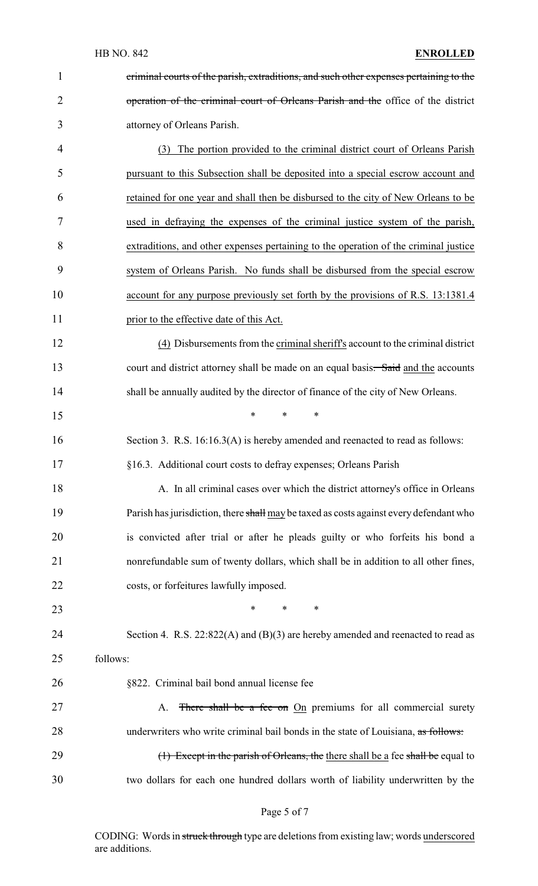| 1              | criminal courts of the parish, extraditions, and such other expenses pertaining to the |
|----------------|----------------------------------------------------------------------------------------|
| $\overline{2}$ | operation of the criminal court of Orleans Parish and the office of the district       |
| 3              | attorney of Orleans Parish.                                                            |
| 4              | The portion provided to the criminal district court of Orleans Parish<br>(3)           |
| 5              | pursuant to this Subsection shall be deposited into a special escrow account and       |
| 6              | retained for one year and shall then be disbursed to the city of New Orleans to be     |
| 7              | used in defraying the expenses of the criminal justice system of the parish,           |
| 8              | extraditions, and other expenses pertaining to the operation of the criminal justice   |
| 9              | system of Orleans Parish. No funds shall be disbursed from the special escrow          |
| 10             | account for any purpose previously set forth by the provisions of R.S. 13:1381.4       |
| 11             | prior to the effective date of this Act.                                               |
| 12             | (4) Disbursements from the criminal sheriff's account to the criminal district         |
| 13             | court and district attorney shall be made on an equal basis. Said and the accounts     |
| 14             | shall be annually audited by the director of finance of the city of New Orleans.       |
| 15             | *<br>*<br>∗                                                                            |
| 16             | Section 3. R.S. 16:16.3(A) is hereby amended and reenacted to read as follows:         |
| 17             | §16.3. Additional court costs to defray expenses; Orleans Parish                       |
| 18             | A. In all criminal cases over which the district attorney's office in Orleans          |
| 19             | Parish has jurisdiction, there shall may be taxed as costs against every defendant who |
| 20             | is convicted after trial or after he pleads guilty or who forfeits his bond a          |
| 21             | nonrefundable sum of twenty dollars, which shall be in addition to all other fines,    |
| 22             | costs, or forfeitures lawfully imposed.                                                |
| 23             | $\ast$<br>*<br>∗                                                                       |
| 24             | Section 4. R.S. $22:822(A)$ and $(B)(3)$ are hereby amended and reenacted to read as   |
| 25             | follows:                                                                               |
| 26             | §822. Criminal bail bond annual license fee                                            |
| 27             | There shall be a fee on On premiums for all commercial surety<br>A.                    |
| 28             | underwriters who write criminal bail bonds in the state of Louisiana, as follows:      |
| 29             | (1) Except in the parish of Orleans, the there shall be a fee shall be equal to        |
| 30             | two dollars for each one hundred dollars worth of liability underwritten by the        |

# Page 5 of 7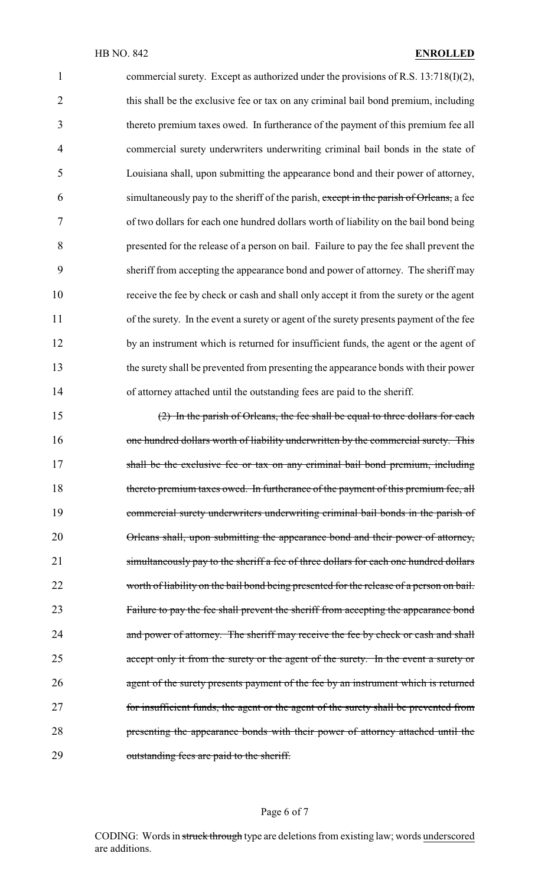1 commercial surety. Except as authorized under the provisions of R.S. 13:718(I)(2), 2 this shall be the exclusive fee or tax on any criminal bail bond premium, including thereto premium taxes owed. In furtherance of the payment of this premium fee all commercial surety underwriters underwriting criminal bail bonds in the state of Louisiana shall, upon submitting the appearance bond and their power of attorney, simultaneously pay to the sheriff of the parish, except in the parish of Orleans, a fee of two dollars for each one hundred dollars worth of liability on the bail bond being presented for the release of a person on bail. Failure to pay the fee shall prevent the sheriff from accepting the appearance bond and power of attorney. The sheriff may receive the fee by check or cash and shall only accept it from the surety or the agent 11 of the surety. In the event a surety or agent of the surety presents payment of the fee 12 by an instrument which is returned for insufficient funds, the agent or the agent of the surety shall be prevented from presenting the appearance bonds with their power of attorney attached until the outstanding fees are paid to the sheriff.

15 (2) In the parish of Orleans, the fee shall be equal to three dollars for each 16 one hundred dollars worth of liability underwritten by the commercial surety. This 17 shall be the exclusive fee or tax on any criminal bail bond premium, including 18 thereto premium taxes owed. In furtherance of the payment of this premium fee, all 19 commercial surety underwriters underwriting criminal bail bonds in the parish of 20 Orleans shall, upon submitting the appearance bond and their power of attorney, 21 simultaneously pay to the sheriff a fee of three dollars for each one hundred dollars 22 worth of liability on the bail bond being presented for the release of a person on bail. 23 Failure to pay the fee shall prevent the sheriff from accepting the appearance bond 24 and power of attorney. The sheriff may receive the fee by check or cash and shall 25 accept only it from the surety or the agent of the surety. In the event a surety or 26 agent of the surety presents payment of the fee by an instrument which is returned 27 for insufficient funds, the agent or the agent of the surety shall be prevented from 28 **presenting the appearance bonds with their power of attorney attached until the** 29 outstanding fees are paid to the sheriff.

### Page 6 of 7